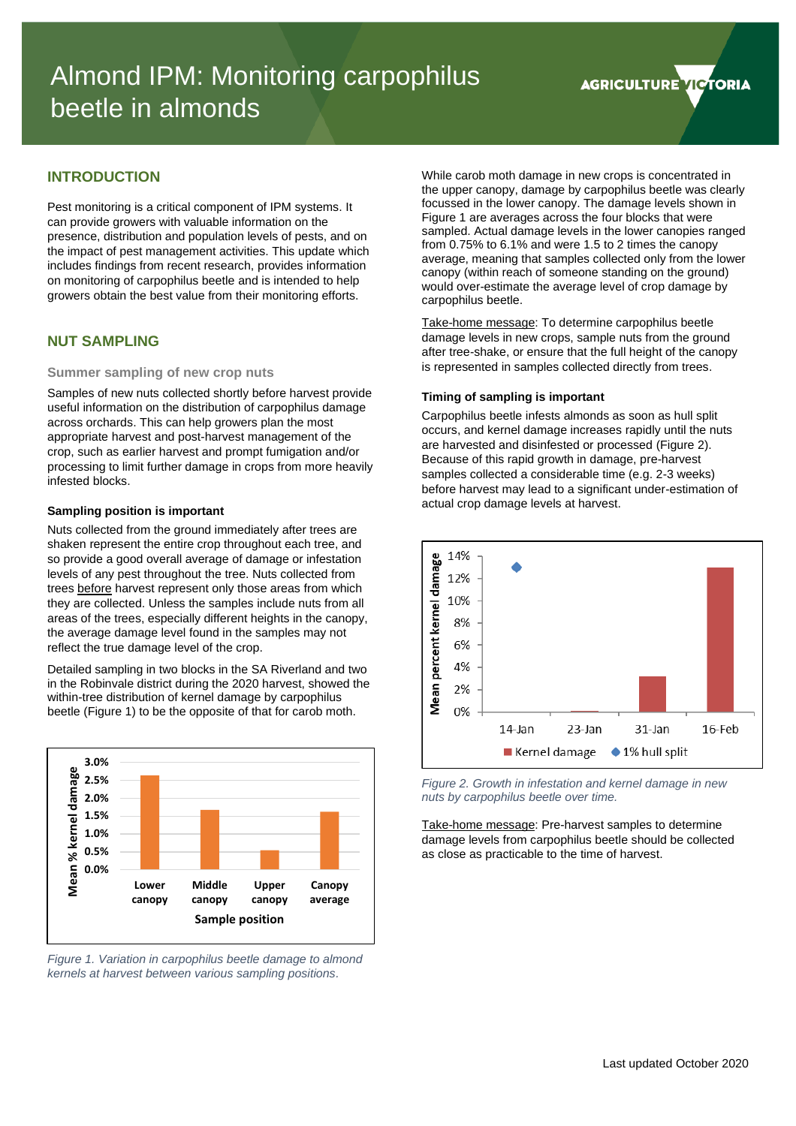**AGRICULTURE VICTORIA** 

# **INTRODUCTION**

Pest monitoring is a critical component of IPM systems. It can provide growers with valuable information on the presence, distribution and population levels of pests, and on the impact of pest management activities. This update which includes findings from recent research, provides information on monitoring of carpophilus beetle and is intended to help growers obtain the best value from their monitoring efforts.

### **NUT SAMPLING**

#### **Summer sampling of new crop nuts**

Samples of new nuts collected shortly before harvest provide useful information on the distribution of carpophilus damage across orchards. This can help growers plan the most appropriate harvest and post-harvest management of the crop, such as earlier harvest and prompt fumigation and/or processing to limit further damage in crops from more heavily infested blocks.

#### **Sampling position is important**

Nuts collected from the ground immediately after trees are shaken represent the entire crop throughout each tree, and so provide a good overall average of damage or infestation levels of any pest throughout the tree. Nuts collected from trees before harvest represent only those areas from which they are collected. Unless the samples include nuts from all areas of the trees, especially different heights in the canopy, the average damage level found in the samples may not reflect the true damage level of the crop.

Detailed sampling in two blocks in the SA Riverland and two in the Robinvale district during the 2020 harvest, showed the within-tree distribution of kernel damage by carpophilus beetle [\(Figure 1\)](#page-0-0) to be the opposite of that for carob moth.



<span id="page-0-0"></span>*Figure 1. Variation in carpophilus beetle damage to almond kernels at harvest between various sampling positions.*

While carob moth damage in new crops is concentrated in the upper canopy, damage by carpophilus beetle was clearly focussed in the lower canopy. The damage levels shown in [Figure 1](#page-0-0) are averages across the four blocks that were sampled. Actual damage levels in the lower canopies ranged from 0.75% to 6.1% and were 1.5 to 2 times the canopy average, meaning that samples collected only from the lower canopy (within reach of someone standing on the ground) would over-estimate the average level of crop damage by carpophilus beetle.

Take-home message: To determine carpophilus beetle damage levels in new crops, sample nuts from the ground after tree-shake, or ensure that the full height of the canopy is represented in samples collected directly from trees.

#### **Timing of sampling is important**

Carpophilus beetle infests almonds as soon as hull split occurs, and kernel damage increases rapidly until the nuts are harvested and disinfested or processed [\(Figure 2\)](#page-0-1). Because of this rapid growth in damage, pre-harvest samples collected a considerable time (e.g. 2-3 weeks) before harvest may lead to a significant under-estimation of actual crop damage levels at harvest.



<span id="page-0-1"></span>*Figure 2. Growth in infestation and kernel damage in new nuts by carpophilus beetle over time.*

Take-home message: Pre-harvest samples to determine damage levels from carpophilus beetle should be collected as close as practicable to the time of harvest.